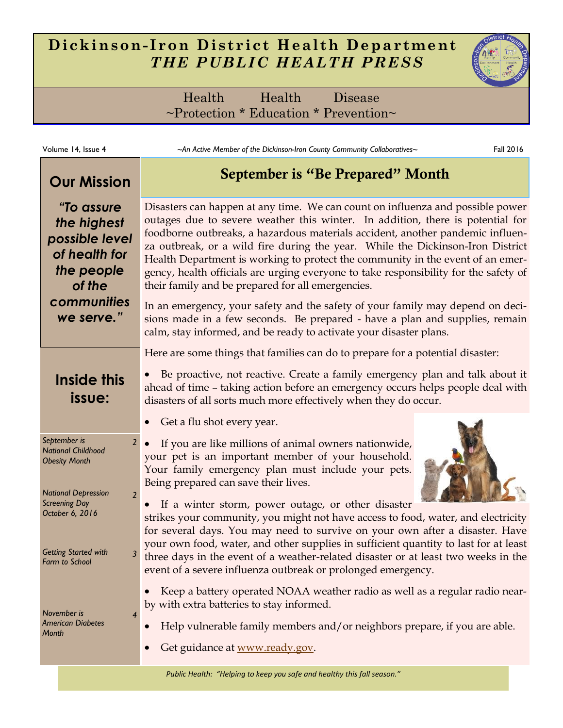# **Dickinson- Iron District Health Department** *THE PUBLIC HEALTH PRESS*



Health Health Disease ~Protection \* Education \* Prevention~

| Volume 14, Issue 4                                                                      | ~An Active Member of the Dickinson-Iron County Community Collaboratives                                                                                                                                                                                                                                                                                                                                                                                                                                                                                                                                                                                                                                                                                                                                                                        | Fall 2016 |
|-----------------------------------------------------------------------------------------|------------------------------------------------------------------------------------------------------------------------------------------------------------------------------------------------------------------------------------------------------------------------------------------------------------------------------------------------------------------------------------------------------------------------------------------------------------------------------------------------------------------------------------------------------------------------------------------------------------------------------------------------------------------------------------------------------------------------------------------------------------------------------------------------------------------------------------------------|-----------|
| <b>Our Mission</b>                                                                      | September is "Be Prepared" Month<br>Disasters can happen at any time. We can count on influenza and possible power<br>outages due to severe weather this winter. In addition, there is potential for<br>foodborne outbreaks, a hazardous materials accident, another pandemic influen-<br>za outbreak, or a wild fire during the year. While the Dickinson-Iron District<br>Health Department is working to protect the community in the event of an emer-<br>gency, health officials are urging everyone to take responsibility for the safety of<br>their family and be prepared for all emergencies.<br>In an emergency, your safety and the safety of your family may depend on deci-<br>sions made in a few seconds. Be prepared - have a plan and supplies, remain<br>calm, stay informed, and be ready to activate your disaster plans. |           |
| "To assure<br>the highest<br>possible level<br>of health for<br>the people<br>of the    |                                                                                                                                                                                                                                                                                                                                                                                                                                                                                                                                                                                                                                                                                                                                                                                                                                                |           |
| communities<br>we serve."                                                               |                                                                                                                                                                                                                                                                                                                                                                                                                                                                                                                                                                                                                                                                                                                                                                                                                                                |           |
|                                                                                         | Here are some things that families can do to prepare for a potential disaster:                                                                                                                                                                                                                                                                                                                                                                                                                                                                                                                                                                                                                                                                                                                                                                 |           |
| Inside this<br>issue:                                                                   | Be proactive, not reactive. Create a family emergency plan and talk about it<br>ahead of time - taking action before an emergency occurs helps people deal with<br>disasters of all sorts much more effectively when they do occur.                                                                                                                                                                                                                                                                                                                                                                                                                                                                                                                                                                                                            |           |
|                                                                                         | Get a flu shot every year.                                                                                                                                                                                                                                                                                                                                                                                                                                                                                                                                                                                                                                                                                                                                                                                                                     |           |
| September is<br>2 <sup>1</sup><br><b>National Childhood</b><br><b>Obesity Month</b>     | If you are like millions of animal owners nationwide,<br>your pet is an important member of your household.<br>Your family emergency plan must include your pets.                                                                                                                                                                                                                                                                                                                                                                                                                                                                                                                                                                                                                                                                              |           |
| <b>National Depression</b><br>$\overline{2}$<br><b>Screening Day</b><br>October 6, 2016 | Being prepared can save their lives.<br>If a winter storm, power outage, or other disaster<br>strikes your community, you might not have access to food, water, and electricity                                                                                                                                                                                                                                                                                                                                                                                                                                                                                                                                                                                                                                                                |           |
| <b>Getting Started with</b><br>Farm to School                                           | for several days. You may need to survive on your own after a disaster. Have<br>your own food, water, and other supplies in sufficient quantity to last for at least<br>three days in the event of a weather-related disaster or at least two weeks in the<br>event of a severe influenza outbreak or prolonged emergency.                                                                                                                                                                                                                                                                                                                                                                                                                                                                                                                     |           |
| November is<br>4<br><b>American Diabetes</b><br>Month                                   | Keep a battery operated NOAA weather radio as well as a regular radio near-<br>by with extra batteries to stay informed.<br>Help vulnerable family members and/or neighbors prepare, if you are able.<br>Get guidance at www.ready.gov.                                                                                                                                                                                                                                                                                                                                                                                                                                                                                                                                                                                                        |           |

*Public Health: "Helping to keep you safe and healthy this fall season."*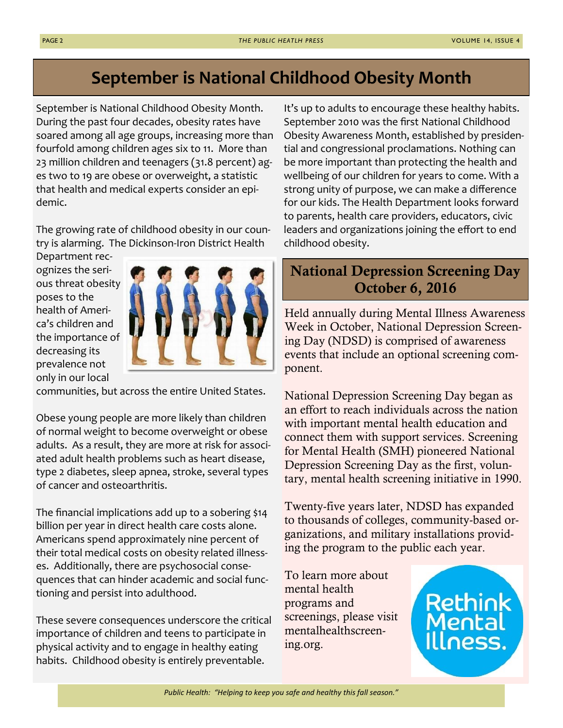# **September is National Childhood Obesity Month**

September is National Childhood Obesity Month. During the past four decades, obesity rates have soared among all age groups, increasing more than fourfold among children ages six to 11. More than 23 million children and teenagers (31.8 percent) ages two to 19 are obese or overweight, a statistic that health and medical experts consider an epidemic.

The growing rate of childhood obesity in our country is alarming. The Dickinson-Iron District Health

Department recognizes the serious threat obesity poses to the health of America's children and the importance of decreasing its prevalence not only in our local



communities, but across the entire United States.

Obese young people are more likely than children of normal weight to become overweight or obese adults. As a result, they are more at risk for associated adult health problems such as heart disease, type 2 diabetes, sleep apnea, stroke, several types of cancer and osteoarthritis.

The financial implications add up to a sobering \$14 billion per year in direct health care costs alone. Americans spend approximately nine percent of their total medical costs on obesity related illnesses. Additionally, there are psychosocial consequences that can hinder academic and social functioning and persist into adulthood.

These severe consequences underscore the critical importance of children and teens to participate in physical activity and to engage in healthy eating habits. Childhood obesity is entirely preventable.

It's up to adults to encourage these healthy habits. September 2010 was the first National Childhood Obesity Awareness Month, established by presidential and congressional proclamations. Nothing can be more important than protecting the health and wellbeing of our children for years to come. With a strong unity of purpose, we can make a difference for our kids. The Health Department looks forward to parents, health care providers, educators, civic leaders and organizations joining the effort to end childhood obesity.

# **National Depression Screening Day October 6, 2016**

Held annually during Mental Illness Awareness Week in October, National Depression Screening Day (NDSD) is comprised of awareness events that include an optional screening component.

National Depression Screening Day began as an effort to reach individuals across the nation with important mental health education and connect them with support services. Screening for Mental Health (SMH) pioneered National Depression Screening Day as the first, voluntary, mental health screening initiative in 1990.

Twenty-five years later, NDSD has expanded to thousands of colleges, community-based organizations, and military installations providing the program to the public each year.

To learn more about mental health programs and screenings, please visit mentalhealthscreening.org.

Rethir

*Public Health: "Helping to keep you safe and healthy this fall season."*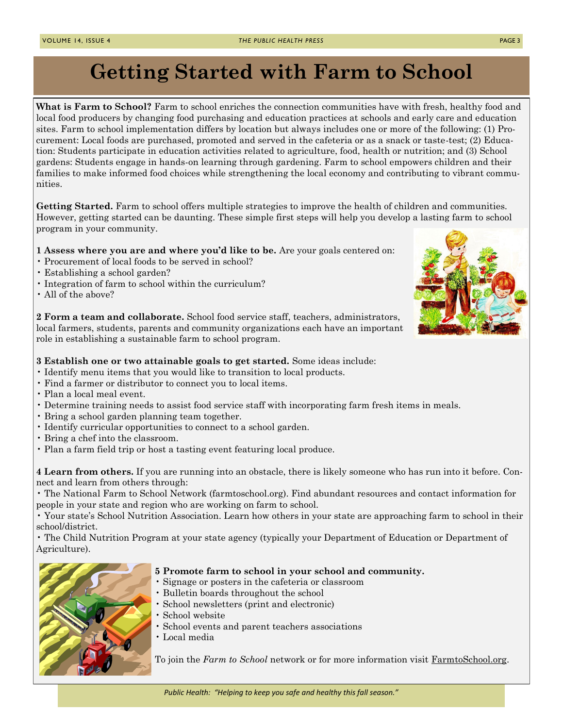# **Getting Started with Farm to School**

**What is Farm to School?** Farm to school enriches the connection communities have with fresh, healthy food and local food producers by changing food purchasing and education practices at schools and early care and education sites. Farm to school implementation differs by location but always includes one or more of the following: (1) Procurement: Local foods are purchased, promoted and served in the cafeteria or as a snack or taste-test; (2) Education: Students participate in education activities related to agriculture, food, health or nutrition; and (3) School gardens: Students engage in hands-on learning through gardening. Farm to school empowers children and their families to make informed food choices while strengthening the local economy and contributing to vibrant communities.

**Getting Started.** Farm to school offers multiple strategies to improve the health of children and communities. However, getting started can be daunting. These simple first steps will help you develop a lasting farm to school program in your community.

### **1 Assess where you are and where you'd like to be.** Are your goals centered on:

- Procurement of local foods to be served in school?
- Establishing a school garden?
- Integration of farm to school within the curriculum?
- All of the above?

**2 Form a team and collaborate.** School food service staff, teachers, administrators, local farmers, students, parents and community organizations each have an important role in establishing a sustainable farm to school program.

## **3 Establish one or two attainable goals to get started.** Some ideas include:

- Identify menu items that you would like to transition to local products.
- Find a farmer or distributor to connect you to local items.
- Plan a local meal event.
- Determine training needs to assist food service staff with incorporating farm fresh items in meals.
- Bring a school garden planning team together.
- Identify curricular opportunities to connect to a school garden.
- Bring a chef into the classroom.
- Plan a farm field trip or host a tasting event featuring local produce.

**4 Learn from others.** If you are running into an obstacle, there is likely someone who has run into it before. Connect and learn from others through:

• The National Farm to School Network (farmtoschool.org). Find abundant resources and contact information for people in your state and region who are working on farm to school.

• Your state's School Nutrition Association. Learn how others in your state are approaching farm to school in their school/district.

• The Child Nutrition Program at your state agency (typically your Department of Education or Department of Agriculture).



#### **5 Promote farm to school in your school and community.**

- Signage or posters in the cafeteria or classroom
- Bulletin boards throughout the school
- School newsletters (print and electronic)
- School website
- School events and parent teachers associations
- Local media

To join the *Farm to School* network or for more information visit FarmtoSchool.org.